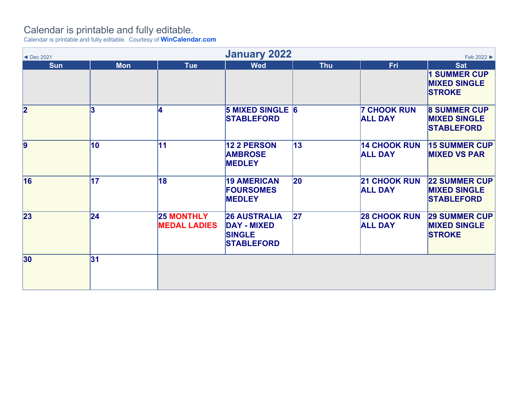## Calendar is printable and fully editable.

Calendar is printable and fully editable. Courtesy of **WinCalendar.com**

| <b>January 2022</b><br>Feb 2022 ▶<br>◀ Dec 2021 |            |                                          |                                                                                 |              |                                       |                                                                  |  |
|-------------------------------------------------|------------|------------------------------------------|---------------------------------------------------------------------------------|--------------|---------------------------------------|------------------------------------------------------------------|--|
| <b>Sun</b>                                      | <b>Mon</b> | <b>Tue</b>                               | <b>Wed</b>                                                                      | <b>Thu</b>   | <b>Fri</b>                            | <b>Sat</b>                                                       |  |
|                                                 |            |                                          |                                                                                 |              |                                       | <b>1 SUMMER CUP</b><br><b>MIXED SINGLE</b><br><b>STROKE</b>      |  |
| $\overline{\mathbf{2}}$                         | 3          |                                          | <b>5 MIXED SINGLE 6</b><br><b>STABLEFORD</b>                                    |              | <b>7 CHOOK RUN</b><br><b>ALL DAY</b>  | <b>8 SUMMER CUP</b><br><b>MIXED SINGLE</b><br><b>STABLEFORD</b>  |  |
| 9                                               | 10         | 11                                       | <b>12 2 PERSON</b><br><b>AMBROSE</b><br><b>MEDLEY</b>                           | 13           | <b>14 CHOOK RUN</b><br><b>ALL DAY</b> | <b>15 SUMMER CUP</b><br><b>MIXED VS PAR</b>                      |  |
| 16                                              | 17         | 18                                       | <b>19 AMERICAN</b><br><b>FOURSOMES</b><br><b>MEDLEY</b>                         | $ 20\rangle$ | <b>21 CHOOK RUN</b><br><b>ALL DAY</b> | <b>22 SUMMER CUP</b><br><b>MIXED SINGLE</b><br><b>STABLEFORD</b> |  |
| 23                                              | 24         | <b>25 MONTHLY</b><br><b>MEDAL LADIES</b> | <b>26 AUSTRALIA</b><br><b>DAY - MIXED</b><br><b>SINGLE</b><br><b>STABLEFORD</b> | 27           | <b>28 CHOOK RUN</b><br><b>ALL DAY</b> | <b>29 SUMMER CUP</b><br><b>MIXED SINGLE</b><br><b>STROKE</b>     |  |
| 30 <sub>o</sub>                                 | 31         |                                          |                                                                                 |              |                                       |                                                                  |  |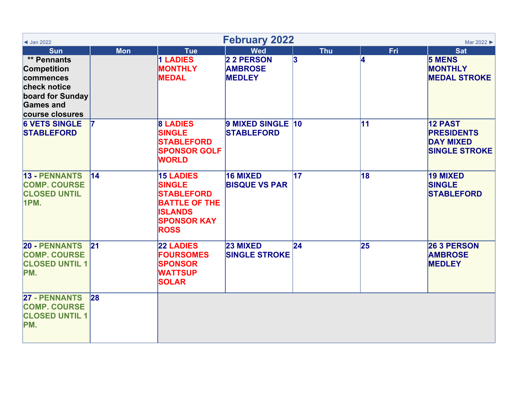| $\triangleleft$ Jan 2022                                                                                                  | <b>February 2022</b><br>Mar 2022 ▶ |                                                                                                                                       |                                               |            |            |                                                                                 |  |  |
|---------------------------------------------------------------------------------------------------------------------------|------------------------------------|---------------------------------------------------------------------------------------------------------------------------------------|-----------------------------------------------|------------|------------|---------------------------------------------------------------------------------|--|--|
| <b>Sun</b>                                                                                                                | <b>Mon</b>                         | <b>Tue</b>                                                                                                                            | <b>Wed</b>                                    | <b>Thu</b> | <b>Fri</b> | <b>Sat</b>                                                                      |  |  |
| ** Pennants<br><b>Competition</b><br>commences<br>check notice<br>board for Sunday<br><b>Games and</b><br>course closures |                                    | 1 LADIES<br><b>MONTHLY</b><br><b>MEDAL</b>                                                                                            | 2 2 PERSON<br><b>AMBROSE</b><br><b>MEDLEY</b> | 3          | 14         | <b>5 MENS</b><br><b>MONTHLY</b><br><b>MEDAL STROKE</b>                          |  |  |
| <b>6 VETS SINGLE</b><br><b>STABLEFORD</b>                                                                                 |                                    | <b>8 LADIES</b><br><b>SINGLE</b><br><b>STABLEFORD</b><br><b>SPONSOR GOLF</b><br><b>WORLD</b>                                          | 9 MIXED SINGLE 10<br><b>STABLEFORD</b>        |            | 11         | <b>12 PAST</b><br><b>PRESIDENTS</b><br><b>DAY MIXED</b><br><b>SINGLE STROKE</b> |  |  |
| <b>13 - PENNANTS</b><br><b>COMP. COURSE</b><br><b>CLOSED UNTIL</b><br>1PM.                                                | 14                                 | <b>15 LADIES</b><br><b>SINGLE</b><br><b>STABLEFORD</b><br><b>BATTLE OF THE</b><br><b>ISLANDS</b><br><b>SPONSOR KAY</b><br><b>ROSS</b> | 16 MIXED<br><b>BISQUE VS PAR</b>              | 17         | 18         | <b>19 MIXED</b><br><b>SINGLE</b><br><b>STABLEFORD</b>                           |  |  |
| <b>20 - PENNANTS</b><br><b>COMP. COURSE</b><br><b>CLOSED UNTIL 1</b><br>PM.                                               | 21                                 | <b>22 LADIES</b><br><b>FOURSOMES</b><br><b>SPONSOR</b><br><b>WATTSUP</b><br><b>SOLAR</b>                                              | 23 MIXED<br><b>SINGLE STROKE</b>              | 24         | 25         | 26 3 PERSON<br><b>AMBROSE</b><br><b>MEDLEY</b>                                  |  |  |
| <b>27 - PENNANTS</b><br><b>COMP. COURSE</b><br><b>CLOSED UNTIL 1</b><br>PM.                                               | 28                                 |                                                                                                                                       |                                               |            |            |                                                                                 |  |  |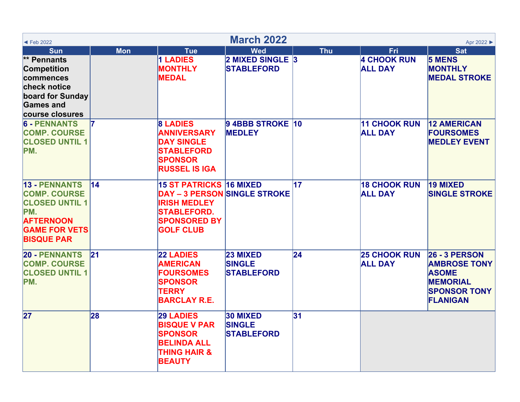| <b>March 2022</b><br>Apr 2022<br>$\blacktriangleleft$ Feb 2022                                                                               |                 |                                                                                                                                                        |                                                |                 |                                       |                                                                                                                          |  |  |
|----------------------------------------------------------------------------------------------------------------------------------------------|-----------------|--------------------------------------------------------------------------------------------------------------------------------------------------------|------------------------------------------------|-----------------|---------------------------------------|--------------------------------------------------------------------------------------------------------------------------|--|--|
| <b>Sun</b>                                                                                                                                   | <b>Mon</b>      | <b>Tue</b>                                                                                                                                             | <b>Wed</b>                                     | <b>Thu</b>      | Fri                                   | <b>Sat</b>                                                                                                               |  |  |
| ** Pennants<br><b>Competition</b><br>commences<br>check notice<br>board for Sunday<br><b>Games and</b><br>course closures                    |                 | 1 LADIES<br><b>MONTHLY</b><br><b>MEDAL</b>                                                                                                             | 2 MIXED SINGLE 3<br><b>STABLEFORD</b>          |                 | <b>4 CHOOK RUN</b><br><b>ALL DAY</b>  | <b>5 MENS</b><br><b>MONTHLY</b><br><b>MEDAL STROKE</b>                                                                   |  |  |
| <b>6 - PENNANTS</b><br><b>COMP. COURSE</b><br><b>CLOSED UNTIL 1</b><br>PM.                                                                   |                 | <b>8 LADIES</b><br><b>ANNIVERSARY</b><br><b>DAY SINGLE</b><br><b>STABLEFORD</b><br><b>SPONSOR</b><br><b>RUSSEL IS IGA</b>                              | 9 4BBB STROKE 10<br><b>MEDLEY</b>              |                 | <b>11 CHOOK RUN</b><br><b>ALL DAY</b> | <b>12 AMERICAN</b><br><b>FOURSOMES</b><br><b>MEDLEY EVENT</b>                                                            |  |  |
| <b>13 - PENNANTS</b><br><b>COMP. COURSE</b><br><b>CLOSED UNTIL 1</b><br>PM.<br><b>AFTERNOON</b><br><b>GAME FOR VETS</b><br><b>BISQUE PAR</b> | $\overline{14}$ | 15 ST PATRICKS 16 MIXED<br><b>DAY - 3 PERSON SINGLE STROKE</b><br><b>IRISH MEDLEY</b><br><b>STABLEFORD.</b><br><b>SPONSORED BY</b><br><b>GOLF CLUB</b> |                                                | $\overline{17}$ | <b>18 CHOOK RUN</b><br><b>ALL DAY</b> | 19 MIXED<br><b>SINGLE STROKE</b>                                                                                         |  |  |
| <b>20 - PENNANTS</b><br><b>COMP. COURSE</b><br><b>CLOSED UNTIL 1</b><br>PM.                                                                  | 21              | <b>22 LADIES</b><br><b>AMERICAN</b><br><b>FOURSOMES</b><br><b>SPONSOR</b><br><b>TERRY</b><br><b>BARCLAY R.E.</b>                                       | 23 MIXED<br><b>SINGLE</b><br><b>STABLEFORD</b> | $\overline{24}$ | <b>25 CHOOK RUN</b><br><b>ALL DAY</b> | <b>26 - 3 PERSON</b><br><b>AMBROSE TONY</b><br><b>ASOME</b><br><b>MEMORIAL</b><br><b>SPONSOR TONY</b><br><b>FLANIGAN</b> |  |  |
| 27                                                                                                                                           | 28              | <b>29 LADIES</b><br><b>BISQUE V PAR</b><br><b>SPONSOR</b><br><b>BELINDA ALL</b><br><b>THING HAIR &amp;</b><br><b>BEAUTY</b>                            | 30 MIXED<br><b>SINGLE</b><br><b>STABLEFORD</b> | 31              |                                       |                                                                                                                          |  |  |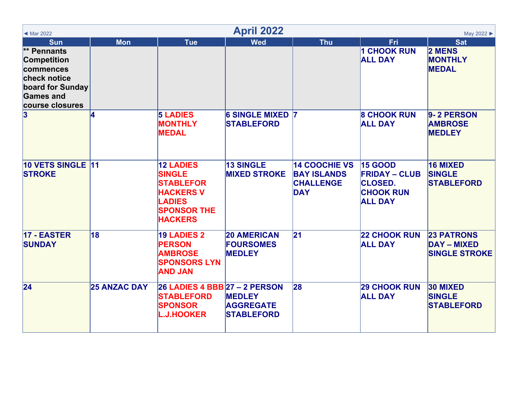| <b>April 2022</b><br>May 2022 ▶<br>◀ Mar 2022                                                                             |                     |                                                                                                                                    |                                                         |                                                                              |                                                                                                |                                                                 |  |
|---------------------------------------------------------------------------------------------------------------------------|---------------------|------------------------------------------------------------------------------------------------------------------------------------|---------------------------------------------------------|------------------------------------------------------------------------------|------------------------------------------------------------------------------------------------|-----------------------------------------------------------------|--|
| <b>Sun</b>                                                                                                                | <b>Mon</b>          | <b>Tue</b>                                                                                                                         | <b>Wed</b>                                              | <b>Thu</b>                                                                   | <b>Fri</b>                                                                                     | <b>Sat</b>                                                      |  |
| ** Pennants<br><b>Competition</b><br>commences<br>check notice<br>board for Sunday<br><b>Games and</b><br>course closures |                     |                                                                                                                                    |                                                         |                                                                              | <b>1 CHOOK RUN</b><br><b>ALL DAY</b>                                                           | <b>2 MENS</b><br><b>MONTHLY</b><br><b>MEDAL</b>                 |  |
| $\bf{3}$                                                                                                                  |                     | <b>5 LADIES</b><br><b>MONTHLY</b><br><b>MEDAL</b>                                                                                  | <b>6 SINGLE MIXED 7</b><br><b>STABLEFORD</b>            |                                                                              | <b>8 CHOOK RUN</b><br><b>ALL DAY</b>                                                           | 9-2 PERSON<br><b>AMBROSE</b><br><b>MEDLEY</b>                   |  |
| 10 VETS SINGLE 11<br><b>STROKE</b>                                                                                        |                     | <b>12 LADIES</b><br><b>SINGLE</b><br><b>STABLEFOR</b><br><b>HACKERS V</b><br><b>LADIES</b><br><b>SPONSOR THE</b><br><b>HACKERS</b> | <b>13 SINGLE</b><br><b>MIXED STROKE</b>                 | <b>14 COOCHIE VS</b><br><b>BAY ISLANDS</b><br><b>CHALLENGE</b><br><b>DAY</b> | <b>15 GOOD</b><br><b>FRIDAY - CLUB</b><br><b>CLOSED.</b><br><b>CHOOK RUN</b><br><b>ALL DAY</b> | 16 MIXED<br><b>SINGLE</b><br><b>STABLEFORD</b>                  |  |
| 17 - EASTER<br><b>SUNDAY</b>                                                                                              | 18                  | <b>19 LADIES 2</b><br><b>PERSON</b><br><b>AMBROSE</b><br><b>SPONSORS LYN</b><br><b>AND JAN</b>                                     | <b>20 AMERICAN</b><br><b>FOURSOMES</b><br><b>MEDLEY</b> | $\mathbf{21}$                                                                | <b>22 CHOOK RUN</b><br><b>ALL DAY</b>                                                          | <b>23 PATRONS</b><br><b>DAY - MIXED</b><br><b>SINGLE STROKE</b> |  |
| $\overline{24}$                                                                                                           | <b>25 ANZAC DAY</b> | <b>26 LADIES 4 BBB 27 - 2 PERSON</b><br><b>STABLEFORD</b><br><b>SPONSOR</b><br><b>L.J.HOOKER</b>                                   | <b>MEDLEY</b><br><b>AGGREGATE</b><br><b>STABLEFORD</b>  | 28                                                                           | <b>29 CHOOK RUN</b><br><b>ALL DAY</b>                                                          | 30 MIXED<br><b>SINGLE</b><br><b>STABLEFORD</b>                  |  |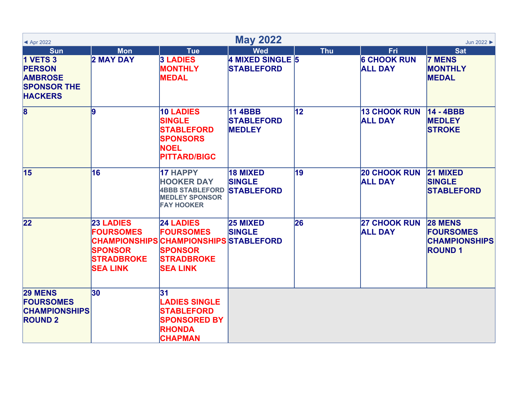| $\triangle$ Apr 2022                                                                                     |                                                                                                                        |                                                                                                                                   | <b>May 2022</b>                                       | Jun 2022   |                                             |                                                                             |  |
|----------------------------------------------------------------------------------------------------------|------------------------------------------------------------------------------------------------------------------------|-----------------------------------------------------------------------------------------------------------------------------------|-------------------------------------------------------|------------|---------------------------------------------|-----------------------------------------------------------------------------|--|
| <b>Sun</b><br><b>1 VETS 3</b><br><b>PERSON</b><br><b>AMBROSE</b><br><b>SPONSOR THE</b><br><b>HACKERS</b> | <b>Mon</b><br><b>2 MAY DAY</b>                                                                                         | <b>Tue</b><br><b>3 LADIES</b><br><b>MONTHLY</b><br><b>MEDAL</b>                                                                   | <b>Wed</b><br>4 MIXED SINGLE 5<br><b>STABLEFORD</b>   | <b>Thu</b> | Fri<br><b>6 CHOOK RUN</b><br><b>ALL DAY</b> | <b>Sat</b><br><b>7 MENS</b><br><b>MONTHLY</b><br><b>MEDAL</b>               |  |
| $\overline{\mathbf{8}}$                                                                                  | 9                                                                                                                      | <b>10 LADIES</b><br><b>SINGLE</b><br><b>STABLEFORD</b><br><b>SPONSORS</b><br><b>NOEL</b><br><b>PITTARD/BIGC</b>                   | <b>11 4BBB</b><br><b>STABLEFORD</b><br><b>MEDLEY</b>  | 12         | <b>13 CHOOK RUN</b><br><b>ALL DAY</b>       | 14 - 4BBB<br><b>MEDLEY</b><br><b>STROKE</b>                                 |  |
| 15                                                                                                       | 16                                                                                                                     | <b>17 HAPPY</b><br><b>HOOKER DAY</b><br><b>4BBB STABLEFORD</b><br><b>MEDLEY SPONSOR</b><br><b>FAY HOOKER</b>                      | <b>18 MIXED</b><br><b>SINGLE</b><br><b>STABLEFORD</b> | 19         | <b>20 CHOOK RUN</b><br><b>ALL DAY</b>       | <b>21 MIXED</b><br><b>SINGLE</b><br><b>STABLEFORD</b>                       |  |
| 22                                                                                                       | <b>23 LADIES</b><br><b>FOURSOMES</b><br><b>CHAMPIONSHIPS</b><br><b>SPONSOR</b><br><b>STRADBROKE</b><br><b>SEA LINK</b> | <b>24 LADIES</b><br><b>FOURSOMES</b><br><b>CHAMPIONSHIPS STABLEFORD</b><br><b>SPONSOR</b><br><b>STRADBROKE</b><br><b>SEA LINK</b> | <b>25 MIXED</b><br><b>SINGLE</b>                      | 26         | <b>27 CHOOK RUN</b><br><b>ALL DAY</b>       | <b>28 MENS</b><br><b>FOURSOMES</b><br><b>CHAMPIONSHIPS</b><br><b>ROUND1</b> |  |
| <b>29 MENS</b><br><b>FOURSOMES</b><br><b>CHAMPIONSHIPS</b><br><b>ROUND 2</b>                             | 30                                                                                                                     | 31<br><b>LADIES SINGLE</b><br><b>STABLEFORD</b><br><b>SPONSORED BY</b><br><b>RHONDA</b><br><b>CHAPMAN</b>                         |                                                       |            |                                             |                                                                             |  |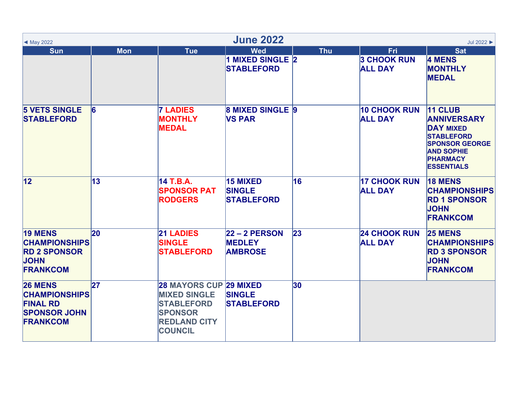| ◀ May 2022                                                                                          | <b>June 2022</b><br>Jul 2022 ▶ |                                                                                                                                      |                                                       |            |                                             |                                                                                                                                                              |  |  |  |
|-----------------------------------------------------------------------------------------------------|--------------------------------|--------------------------------------------------------------------------------------------------------------------------------------|-------------------------------------------------------|------------|---------------------------------------------|--------------------------------------------------------------------------------------------------------------------------------------------------------------|--|--|--|
| <b>Sun</b>                                                                                          | <b>Mon</b>                     | <b>Tue</b>                                                                                                                           | <b>Wed</b><br>1 MIXED SINGLE 2<br><b>STABLEFORD</b>   | <b>Thu</b> | Fri<br><b>3 CHOOK RUN</b><br><b>ALL DAY</b> | <b>Sat</b><br><b>4 MENS</b><br><b>MONTHLY</b><br><b>MEDAL</b>                                                                                                |  |  |  |
| <b>5 VETS SINGLE</b><br><b>STABLEFORD</b>                                                           | 16                             | <b>7 LADIES</b><br><b>MONTHLY</b><br><b>MEDAL</b>                                                                                    | <b>8 MIXED SINGLE 9</b><br><b>VS PAR</b>              |            | <b>10 CHOOK RUN</b><br><b>ALL DAY</b>       | 11 CLUB<br><b>ANNIVERSARY</b><br><b>DAY MIXED</b><br><b>STABLEFORD</b><br><b>SPONSOR GEORGE</b><br><b>AND SOPHIE</b><br><b>PHARMACY</b><br><b>ESSENTIALS</b> |  |  |  |
| 12                                                                                                  | 13                             | 14 T.B.A.<br><b>SPONSOR PAT</b><br><b>RODGERS</b>                                                                                    | <b>15 MIXED</b><br><b>SINGLE</b><br><b>STABLEFORD</b> | 16         | <b>17 CHOOK RUN</b><br><b>ALL DAY</b>       | <b>18 MENS</b><br><b>CHAMPIONSHIPS</b><br><b>RD 1 SPONSOR</b><br><b>JOHN</b><br><b>FRANKCOM</b>                                                              |  |  |  |
| <b>19 MENS</b><br><b>CHAMPIONSHIPS</b><br><b>RD 2 SPONSOR</b><br><b>JOHN</b><br><b>FRANKCOM</b>     | <b>20</b>                      | <b>21 LADIES</b><br><b>SINGLE</b><br><b>STABLEFORD</b>                                                                               | $22 - 2$ PERSON<br><b>MEDLEY</b><br><b>AMBROSE</b>    | 23         | <b>24 CHOOK RUN</b><br><b>ALL DAY</b>       | <b>25 MENS</b><br><b>CHAMPIONSHIPS</b><br><b>RD 3 SPONSOR</b><br><b>JOHN</b><br><b>FRANKCOM</b>                                                              |  |  |  |
| <b>26 MENS</b><br><b>CHAMPIONSHIPS</b><br><b>FINAL RD</b><br><b>SPONSOR JOHN</b><br><b>FRANKCOM</b> | 27                             | <b>28 MAYORS CUP 29 MIXED</b><br><b>MIXED SINGLE</b><br><b>STABLEFORD</b><br><b>SPONSOR</b><br><b>REDLAND CITY</b><br><b>COUNCIL</b> | <b>SINGLE</b><br><b>STABLEFORD</b>                    | 30         |                                             |                                                                                                                                                              |  |  |  |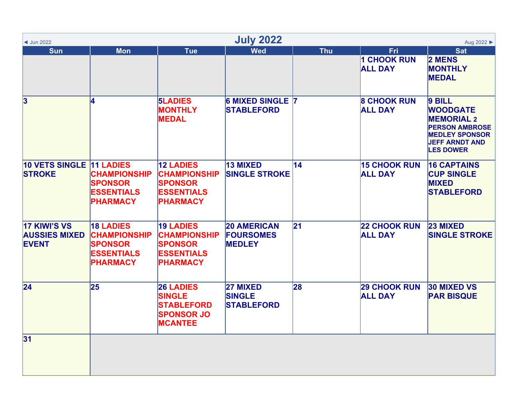| <b>July 2022</b><br>Aug 2022 ▶<br>$\triangleleft$ Jun 2022  |                                                                                                   |                                                                                                   |                                                         |               |                                       |                                                                                                                                               |  |  |
|-------------------------------------------------------------|---------------------------------------------------------------------------------------------------|---------------------------------------------------------------------------------------------------|---------------------------------------------------------|---------------|---------------------------------------|-----------------------------------------------------------------------------------------------------------------------------------------------|--|--|
| <b>Sun</b>                                                  | <b>Mon</b>                                                                                        | <b>Tue</b>                                                                                        | <b>Wed</b>                                              | <b>Thu</b>    | Fri<br>1 CHOOK RUN<br><b>ALL DAY</b>  | <b>Sat</b><br>2 MENS<br><b>MONTHLY</b><br><b>MEDAL</b>                                                                                        |  |  |
| 3                                                           | 4                                                                                                 | <b>5LADIES</b><br><b>MONTHLY</b><br><b>MEDAL</b>                                                  | 6 MIXED SINGLE 7<br><b>STABLEFORD</b>                   |               | <b>8 CHOOK RUN</b><br><b>ALL DAY</b>  | 9 BILL<br><b>WOODGATE</b><br><b>MEMORIAL 2</b><br><b>PERSON AMBROSE</b><br><b>MEDLEY SPONSOR</b><br><b>JEFF ARNDT AND</b><br><b>LES DOWER</b> |  |  |
| 10 VETS SINGLE 11 LADIES<br><b>STROKE</b>                   | <b>CHAMPIONSHIP</b><br><b>SPONSOR</b><br><b>ESSENTIALS</b><br><b>PHARMACY</b>                     | <b>12 LADIES</b><br><b>CHAMPIONSHIP</b><br><b>SPONSOR</b><br><b>ESSENTIALS</b><br><b>PHARMACY</b> | 13 MIXED<br><b>SINGLE STROKE</b>                        | 14            | <b>15 CHOOK RUN</b><br><b>ALL DAY</b> | <b>16 CAPTAINS</b><br><b>CUP SINGLE</b><br><b>MIXED</b><br><b>STABLEFORD</b>                                                                  |  |  |
| <b>17 KIWI'S VS</b><br><b>AUSSIES MIXED</b><br><b>EVENT</b> | <b>18 LADIES</b><br><b>CHAMPIONSHIP</b><br><b>SPONSOR</b><br><b>ESSENTIALS</b><br><b>PHARMACY</b> | <b>19 LADIES</b><br><b>CHAMPIONSHIP</b><br><b>SPONSOR</b><br><b>ESSENTIALS</b><br><b>PHARMACY</b> | <b>20 AMERICAN</b><br><b>FOURSOMES</b><br><b>MEDLEY</b> | $\mathbf{21}$ | <b>22 CHOOK RUN</b><br><b>ALL DAY</b> | 23 MIXED<br><b>SINGLE STROKE</b>                                                                                                              |  |  |
| 24                                                          | 25                                                                                                | <b>26 LADIES</b><br><b>SINGLE</b><br><b>STABLEFORD</b><br><b>SPONSOR JO</b><br><b>MCANTEE</b>     | 27 MIXED<br><b>SINGLE</b><br><b>STABLEFORD</b>          | 28            | <b>29 CHOOK RUN</b><br><b>ALL DAY</b> | <b>30 MIXED VS</b><br><b>PAR BISQUE</b>                                                                                                       |  |  |
| 31                                                          |                                                                                                   |                                                                                                   |                                                         |               |                                       |                                                                                                                                               |  |  |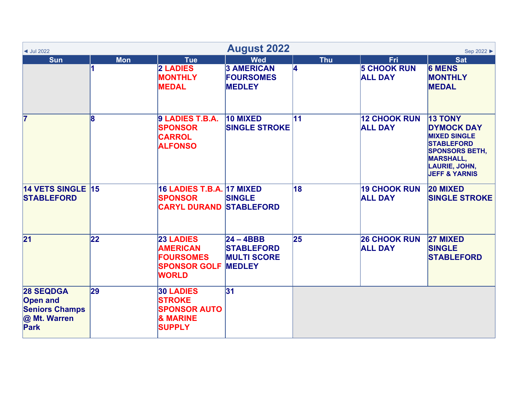| $\blacktriangleleft$ Jul 2022                                                        | <b>August 2022</b><br>Sep 2022 ▶ |                                                                                                  |                                                                         |            |                                       |                                                                                                                                                                                  |  |  |  |
|--------------------------------------------------------------------------------------|----------------------------------|--------------------------------------------------------------------------------------------------|-------------------------------------------------------------------------|------------|---------------------------------------|----------------------------------------------------------------------------------------------------------------------------------------------------------------------------------|--|--|--|
| <b>Sun</b>                                                                           | <b>Mon</b>                       | <b>Tue</b>                                                                                       | <b>Wed</b>                                                              | <b>Thu</b> | <b>Fri</b>                            | <b>Sat</b>                                                                                                                                                                       |  |  |  |
|                                                                                      |                                  | 2 LADIES<br><b>MONTHLY</b><br><b>MEDAL</b>                                                       | <b>3 AMERICAN</b><br><b>FOURSOMES</b><br><b>MEDLEY</b>                  | 4          | <b>5 CHOOK RUN</b><br><b>ALL DAY</b>  | <b>6 MENS</b><br><b>MONTHLY</b><br><b>MEDAL</b>                                                                                                                                  |  |  |  |
| 7                                                                                    | 18                               | 9 LADIES T.B.A.<br><b>SPONSOR</b><br><b>CARROL</b><br><b>ALFONSO</b>                             | 10 MIXED<br><b>SINGLE STROKE</b>                                        | 11         | <b>12 CHOOK RUN</b><br><b>ALL DAY</b> | <b>13 TONY</b><br><b>DYMOCK DAY</b><br><b>MIXED SINGLE</b><br><b>STABLEFORD</b><br><b>SPONSORS BETH,</b><br><b>MARSHALL,</b><br><b>LAURIE, JOHN,</b><br><b>JEFF &amp; YARNIS</b> |  |  |  |
| 14 VETS SINGLE 15<br><b>STABLEFORD</b>                                               |                                  | <b>16 LADIES T.B.A. 17 MIXED</b><br><b>SPONSOR</b><br><b>CARYL DURAND STABLEFORD</b>             | <b>SINGLE</b>                                                           | 18         | <b>19 CHOOK RUN</b><br><b>ALL DAY</b> | <b>20 MIXED</b><br><b>SINGLE STROKE</b>                                                                                                                                          |  |  |  |
| $\overline{21}$                                                                      | 22                               | <b>23 LADIES</b><br><b>AMERICAN</b><br><b>FOURSOMES</b><br><b>SPONSOR GOLF</b><br><b>WORLD</b>   | $24 - 4BBB$<br><b>STABLEFORD</b><br><b>MULTI SCORE</b><br><b>MEDLEY</b> | 25         | <b>26 CHOOK RUN</b><br><b>ALL DAY</b> | 27 MIXED<br><b>SINGLE</b><br><b>STABLEFORD</b>                                                                                                                                   |  |  |  |
| <b>28 SEQDGA</b><br><b>Open and</b><br><b>Seniors Champs</b><br>@ Mt. Warren<br>Park | 29                               | <b>30 LADIES</b><br><b>STROKE</b><br><b>SPONSOR AUTO</b><br><b>&amp; MARINE</b><br><b>SUPPLY</b> | 31                                                                      |            |                                       |                                                                                                                                                                                  |  |  |  |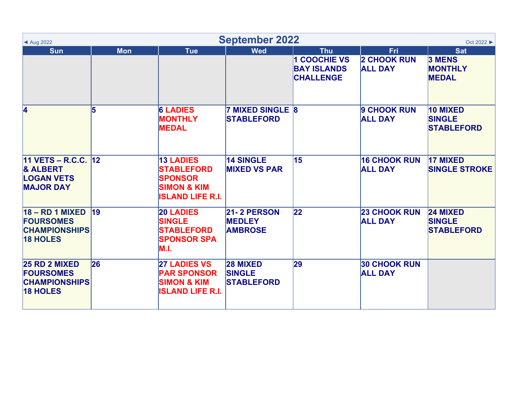| <b>September 2022</b><br>◀ Aug 2022                                                     |            |                                                                                                              |                                                       |                                                             |                                       |                                                       |
|-----------------------------------------------------------------------------------------|------------|--------------------------------------------------------------------------------------------------------------|-------------------------------------------------------|-------------------------------------------------------------|---------------------------------------|-------------------------------------------------------|
| <b>Sun</b>                                                                              | <b>Mon</b> | <b>Tue</b>                                                                                                   | <b>Wed</b>                                            | <b>Thu</b>                                                  | Fri                                   | <b>Sat</b>                                            |
|                                                                                         |            |                                                                                                              |                                                       | <b>COOCHIE VS</b><br><b>BAY ISLANDS</b><br><b>CHALLENGE</b> | <b>2 CHOOK RUN</b><br><b>ALL DAY</b>  | <b>3 MENS</b><br><b>MONTHLY</b><br><b>MEDAL</b>       |
| 4                                                                                       | 15         | <b>6 LADIES</b><br><b>MONTHLY</b><br><b>MEDAL</b>                                                            | <b>7 MIXED SINGLE 8</b><br><b>STABLEFORD</b>          |                                                             | 9 CHOOK RUN<br><b>ALL DAY</b>         | 10 MIXED<br><b>SINGLE</b><br><b>STABLEFORD</b>        |
| 11 VETS - R.C.C. $ 12 $<br><b>&amp; ALBERT</b><br><b>LOGAN VETS</b><br><b>MAJOR DAY</b> |            | <b>13 LADIES</b><br><b>STABLEFORD</b><br><b>SPONSOR</b><br><b>SIMON &amp; KIM</b><br><b>ISLAND LIFE R.I.</b> | <b>14 SINGLE</b><br><b>MIXED VS PAR</b>               | 15                                                          | <b>16 CHOOK RUN</b><br><b>ALL DAY</b> | <b>17 MIXED</b><br><b>SINGLE STROKE</b>               |
| $18 - RD 1$ MIXED<br><b>FOURSOMES</b><br><b>CHAMPIONSHIPS</b><br><b>18 HOLES</b>        | 19         | <b>20 LADIES</b><br><b>SINGLE</b><br><b>STABLEFORD</b><br><b>SPONSOR SPA</b><br>M.I.                         | <b>21-2 PERSON</b><br><b>MEDLEY</b><br><b>AMBROSE</b> | $ 22\rangle$                                                | <b>23 CHOOK RUN</b><br><b>ALL DAY</b> | <b>24 MIXED</b><br><b>SINGLE</b><br><b>STABLEFORD</b> |
| <b>25 RD 2 MIXED</b><br><b>FOURSOMES</b><br><b>CHAMPIONSHIPS</b><br><b>18 HOLES</b>     | 26         | <b>27 LADIES VS</b><br><b>PAR SPONSOR</b><br><b>SIMON &amp; KIM</b><br><b>ISLAND LIFE R.I.</b>               | <b>28 MIXED</b><br><b>SINGLE</b><br><b>STABLEFORD</b> | 29                                                          | <b>30 CHOOK RUN</b><br><b>ALL DAY</b> |                                                       |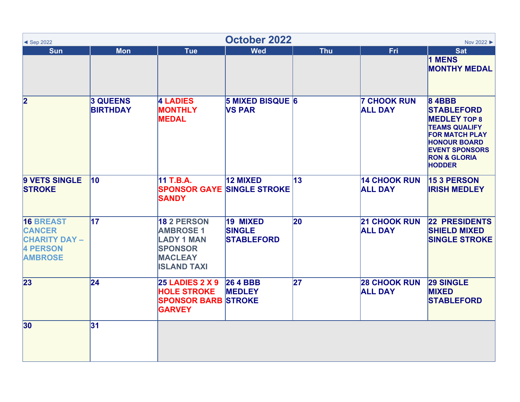| October 2022<br>Nov 2022 ▶<br>$\triangleleft$ Sep 2022                                         |                                    |                                                                                                                       |                                                |              |                                       |                                                                                                                                                                                                       |  |  |
|------------------------------------------------------------------------------------------------|------------------------------------|-----------------------------------------------------------------------------------------------------------------------|------------------------------------------------|--------------|---------------------------------------|-------------------------------------------------------------------------------------------------------------------------------------------------------------------------------------------------------|--|--|
| <b>Sun</b>                                                                                     | <b>Mon</b>                         | <b>Tue</b>                                                                                                            | <b>Wed</b>                                     | <b>Thu</b>   | Fri                                   | <b>Sat</b><br>1 MENS<br><b>MONTHY MEDAL</b>                                                                                                                                                           |  |  |
| $\overline{\mathbf{2}}$                                                                        | <b>3 QUEENS</b><br><b>BIRTHDAY</b> | <b>4 LADIES</b><br><b>MONTHLY</b><br><b>MEDAL</b>                                                                     | <b>5 MIXED BISQUE 6</b><br><b>VS PAR</b>       |              | <b>7 CHOOK RUN</b><br><b>ALL DAY</b>  | <b>84BBB</b><br><b>STABLEFORD</b><br><b>MEDLEY TOP 8</b><br><b>TEAMS QUALIFY</b><br><b>FOR MATCH PLAY</b><br><b>HONOUR BOARD</b><br><b>EVENT SPONSORS</b><br><b>RON &amp; GLORIA</b><br><b>HODDER</b> |  |  |
| 9 VETS SINGLE<br><b>STROKE</b>                                                                 | 10                                 | 11 T.B.A.<br><b>SANDY</b>                                                                                             | 12 MIXED<br><b>SPONSOR GAYE SINGLE STROKE</b>  | $ 13\rangle$ | <b>14 CHOOK RUN</b><br><b>ALL DAY</b> | <b>15 3 PERSON</b><br><b>IRISH MEDLEY</b>                                                                                                                                                             |  |  |
| <b>16 BREAST</b><br><b>CANCER</b><br><b>CHARITY DAY -</b><br><b>4 PERSON</b><br><b>AMBROSE</b> | $\overline{17}$                    | <b>18 2 PERSON</b><br><b>AMBROSE 1</b><br><b>LADY 1 MAN</b><br><b>SPONSOR</b><br><b>MACLEAY</b><br><b>ISLAND TAXI</b> | 19 MIXED<br><b>SINGLE</b><br><b>STABLEFORD</b> | 20           | <b>21 CHOOK RUN</b><br><b>ALL DAY</b> | <b>22 PRESIDENTS</b><br><b>SHIELD MIXED</b><br><b>SINGLE STROKE</b>                                                                                                                                   |  |  |
| 23                                                                                             | $ 24\rangle$                       | <b>25 LADIES 2 X 9</b><br><b>HOLE STROKE</b><br><b>SPONSOR BARB STROKE</b><br><b>GARVEY</b>                           | <b>26 4 BBB</b><br><b>MEDLEY</b>               | 27           | <b>28 CHOOK RUN</b><br><b>ALL DAY</b> | <b>29 SINGLE</b><br><b>MIXED</b><br><b>STABLEFORD</b>                                                                                                                                                 |  |  |
| 30 <sub>o</sub>                                                                                | 31                                 |                                                                                                                       |                                                |              |                                       |                                                                                                                                                                                                       |  |  |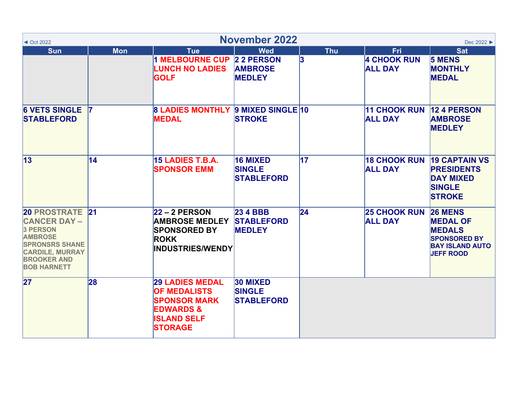| $\triangleleft$ Oct 2022                                                                                                                                                   |            |                                                                                                                                      | <b>November 2022</b>                                  |                 |                                                    | Dec 2022 ▶                                                                                                              |
|----------------------------------------------------------------------------------------------------------------------------------------------------------------------------|------------|--------------------------------------------------------------------------------------------------------------------------------------|-------------------------------------------------------|-----------------|----------------------------------------------------|-------------------------------------------------------------------------------------------------------------------------|
| <b>Sun</b>                                                                                                                                                                 | <b>Mon</b> | <b>Tue</b><br>1 MELBOURNE CUP 2 2 PERSON<br><b>LUNCH NO LADIES</b><br><b>GOLF</b>                                                    | <b>Wed</b><br><b>AMBROSE</b><br><b>MEDLEY</b>         | <b>Thu</b><br>3 | <b>Fri</b><br><b>4 CHOOK RUN</b><br><b>ALL DAY</b> | <b>Sat</b><br><b>5 MENS</b><br><b>MONTHLY</b><br><b>MEDAL</b>                                                           |
| <b>6 VETS SINGLE</b><br><b>STABLEFORD</b>                                                                                                                                  |            | <b>8 LADIES MONTHLY 9 MIXED SINGLE 10</b><br><b>MEDAL</b>                                                                            | <b>STROKE</b>                                         |                 | <b>11 CHOOK RUN</b><br><b>ALL DAY</b>              | <b>12 4 PERSON</b><br><b>AMBROSE</b><br><b>MEDLEY</b>                                                                   |
| $\vert$ 13                                                                                                                                                                 | 14         | 15 LADIES T.B.A.<br><b>SPONSOR EMM</b>                                                                                               | <b>16 MIXED</b><br><b>SINGLE</b><br><b>STABLEFORD</b> | $\overline{17}$ | <b>18 CHOOK RUN</b><br><b>ALL DAY</b>              | <b>19 CAPTAIN VS</b><br><b>PRESIDENTS</b><br><b>DAY MIXED</b><br><b>SINGLE</b><br><b>STROKE</b>                         |
| <b>20 PROSTRATE 21</b><br><b>CANCER DAY -</b><br>3 PERSON<br><b>AMBROSE</b><br><b>SPRONSRS SHANE</b><br><b>CARDILE, MURRAY</b><br><b>BROOKER AND</b><br><b>BOB HARNETT</b> |            | $22 - 2$ PERSON<br><b>AMBROSE MEDLEY</b><br><b>SPONSORED BY</b><br><b>ROKK</b><br><b>INDUSTRIES/WENDY</b>                            | <b>23 4 BBB</b><br><b>STABLEFORD</b><br><b>MEDLEY</b> | $\overline{24}$ | <b>25 CHOOK RUN</b><br><b>ALL DAY</b>              | <b>26 MENS</b><br><b>MEDAL OF</b><br><b>MEDALS</b><br><b>SPONSORED BY</b><br><b>BAY ISLAND AUTO</b><br><b>JEFF ROOD</b> |
| 27                                                                                                                                                                         | 28         | <b>29 LADIES MEDAL</b><br><b>OF MEDALISTS</b><br><b>SPONSOR MARK</b><br><b>EDWARDS &amp;</b><br><b>ISLAND SELF</b><br><b>STORAGE</b> | 30 MIXED<br><b>SINGLE</b><br><b>STABLEFORD</b>        |                 |                                                    |                                                                                                                         |